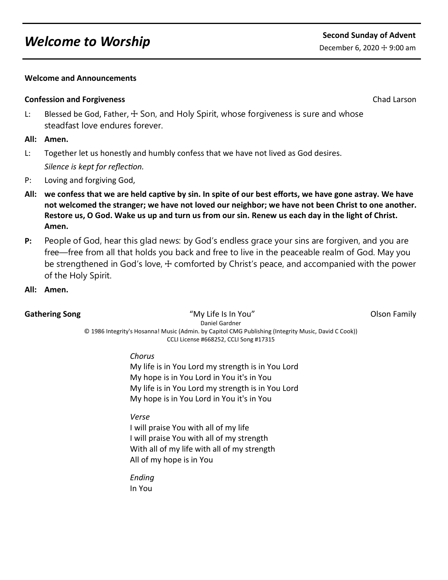# *Welcome to Worship* Second Sunday of Advent

### **Welcome and Announcements**

## **Confession and Forgiveness** Chad Larson Chad Larson

L: Blessed be God, Father,  $\pm$  Son, and Holy Spirit, whose forgiveness is sure and whose steadfast love endures forever.

## **All: Amen.**

- L: Together let us honestly and humbly confess that we have not lived as God desires. *Silence is kept for reflection.*
- P: Loving and forgiving God,
- **All: we confess that we are held captive by sin. In spite of our best efforts, we have gone astray. We have not welcomed the stranger; we have not loved our neighbor; we have not been Christ to one another. Restore us, O God. Wake us up and turn us from our sin. Renew us each day in the light of Christ. Amen.**
- **P:** People of God, hear this glad news: by God's endless grace your sins are forgiven, and you are free—free from all that holds you back and free to live in the peaceable realm of God. May you be strengthened in God's love,  $\pm$  comforted by Christ's peace, and accompanied with the power of the Holy Spirit.
- **All: Amen.**

Gathering Song **Supplem Contains the Contract of My Life Is In You" Contract Contract Contract Olson Family Contract Contract Contract Contract Contract Contract Contract Contract Contract Contract Contract Contract Contra** Daniel Gardner © 1986 Integrity's Hosanna! Music (Admin. by Capitol CMG Publishing (Integrity Music, David C Cook)) CCLI License #668252, CCLI Song #17315

*Chorus*

My life is in You Lord my strength is in You Lord My hope is in You Lord in You it's in You My life is in You Lord my strength is in You Lord My hope is in You Lord in You it's in You

### *Verse*

I will praise You with all of my life I will praise You with all of my strength With all of my life with all of my strength All of my hope is in You

*Ending* In You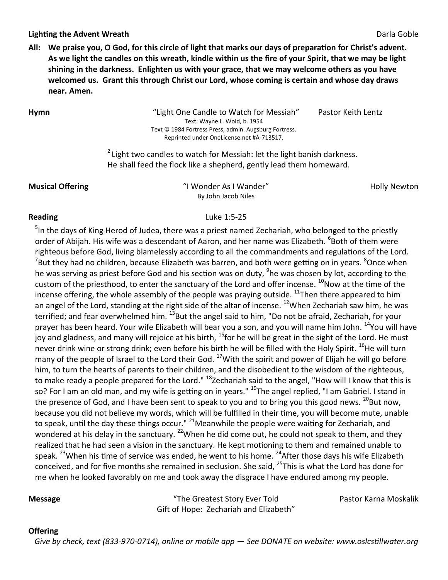### **Lighting the Advent Wreath Darla Goble Darla Goble** Darla Goble **Darla Goble Darla Goble Darla Goble Darla Goble**

**All: We praise you, O God, for this circle of light that marks our days of preparation for Christ's advent. As we light the candles on this wreath, kindle within us the fire of your Spirit, that we may be light shining in the darkness. Enlighten us with your grace, that we may welcome others as you have welcomed us. Grant this through Christ our Lord, whose coming is certain and whose day draws near. Amen.**

**Hymn** "Light One Candle to Watch for Messiah" Pastor Keith Lentz Text: Wayne L. Wold, b. 1954 Text © 1984 Fortress Press, admin. Augsburg Fortress. Reprinted under OneLicense.net #A-713517.

 $2$  Light two candles to watch for Messiah: let the light banish darkness. He shall feed the flock like a shepherd, gently lead them homeward.

**Musical Offering The Construction Construction Construction Construction Construction Construction Construction** By John Jacob Niles

### **Reading** Luke 1:5-25

<sup>5</sup>In the days of King Herod of Judea, there was a priest named Zechariah, who belonged to the priestly order of Abijah. His wife was a descendant of Aaron, and her name was Elizabeth. <sup>6</sup>Both of them were righteous before God, living blamelessly according to all the commandments and regulations of the Lord.  $^7$ But they had no children, because Elizabeth was barren, and both were getting on in years.  $^8$ Once when he was serving as priest before God and his section was on duty, <sup>9</sup>he was chosen by lot, according to the custom of the priesthood, to enter the sanctuary of the Lord and offer incense.  $^{10}$ Now at the time of the incense offering, the whole assembly of the people was praying outside.  $^{11}$ Then there appeared to him an angel of the Lord, standing at the right side of the altar of incense. <sup>12</sup>When Zechariah saw him, he was terrified; and fear overwhelmed him. <sup>13</sup>But the angel said to him, "Do not be afraid, Zechariah, for your prayer has been heard. Your wife Elizabeth will bear you a son, and you will name him John. <sup>14</sup>You will have joy and gladness, and many will rejoice at his birth, <sup>15</sup>for he will be great in the sight of the Lord. He must never drink wine or strong drink; even before his birth he will be filled with the Holy Spirit. <sup>16</sup>He will turn many of the people of Israel to the Lord their God.  $^{17}$ With the spirit and power of Elijah he will go before him, to turn the hearts of parents to their children, and the disobedient to the wisdom of the righteous, to make ready a people prepared for the Lord." <sup>18</sup>Zechariah said to the angel, "How will I know that this is so? For I am an old man, and my wife is getting on in years." <sup>19</sup>The angel replied, "I am Gabriel. I stand in the presence of God, and I have been sent to speak to you and to bring you this good news.  $^{20}$ But now, because you did not believe my words, which will be fulfilled in their time, you will become mute, unable to speak, until the day these things occur." <sup>21</sup>Meanwhile the people were waiting for Zechariah, and wondered at his delay in the sanctuary. <sup>22</sup>When he did come out, he could not speak to them, and they realized that he had seen a vision in the sanctuary. He kept motioning to them and remained unable to speak. <sup>23</sup>When his time of service was ended, he went to his home. <sup>24</sup>After those days his wife Elizabeth conceived, and for five months she remained in seclusion. She said, <sup>25</sup>This is what the Lord has done for me when he looked favorably on me and took away the disgrace I have endured among my people.

**Message** The Greatest Story Ever Told The Statest Story Ever Told Pastor Karna Moskalik Gift of Hope: Zechariah and Elizabeth"

### **Offering**

 *Give by check, text (833-970-0714), online or mobile app — See DONATE on website: www.oslcstillwater.org*